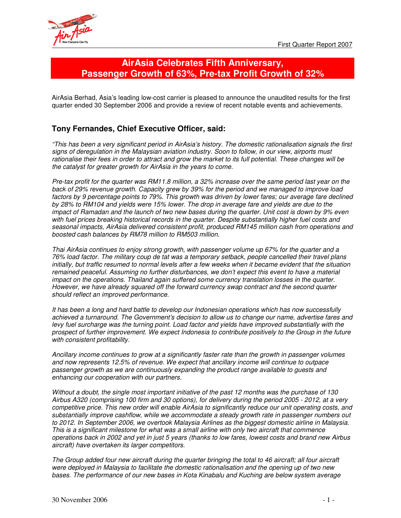

# **AirAsia Celebrates Fifth Anniversary, Passenger Growth of 63%, Pre-tax Profit Growth of 32%**

AirAsia Berhad, Asia's leading low-cost carrier is pleased to announce the unaudited results for the first quarter ended 30 September 2006 and provide a review of recent notable events and achievements.

# **Tony Fernandes, Chief Executive Officer, said:**

*"This has been a very significant period in AirAsia's history. The domestic rationalisation signals the first signs of deregulation in the Malaysian aviation industry. Soon to follow, in our view, airports must* rationalise their fees in order to attract and grow the market to its full potential. These changes will be *the catalyst for greater growth for AirAsia in the years to come.*

Pre-tax profit for the quarter was RM11.8 million, a 32% increase over the same period last year on the *back of 29% revenue growth. Capacity grew by 39% for the period and we managed to improve load* factors by 9 percentage points to 79%. This growth was driven by lower fares; our average fare declined by 28% to RM104 and yields were 15% lower. The drop in average fare and yields are due to the impact of Ramadan and the launch of two new bases during the quarter. Unit cost is down by 9% even *with fuel prices breaking historical records in the quarter. Despite substantially higher fuel costs and seasonal impacts, AirAsia delivered consistent profit, produced RM145 million cash from operations and boosted cash balances by RM78 million to RM503 million.*

*Thai AirAsia continues to enjoy strong growth, with passenger volume up 67% for the quarter and a 76% load factor. The military coup de tat was a temporary setback, people cancelled their travel plans* initially, but traffic resumed to normal levels after a few weeks when it became evident that the situation *remained peaceful. Assuming no further disturbances, we don't expect this event to have a material impact on the operations. Thailand again suffered some currency translation losses in the quarter. However, we have already squared off the forward currency swap contract and the second quarter should reflect an improved performance.*

*It has been a long and hard battle to develop our Indonesian operations which has now successfully achieved a turnaround. The Government's decision to allow us to change our name, advertise fares and levy fuel surcharge was the turning point. Load factor and yields have improved substantially with the prospect of further improvement. We expect Indonesia to contribute positively to the Group in the future with consistent profitability.*

*Ancillary income continues to grow at a significantly faster rate than the growth in passenger volumes and now represents 12.5% of revenue. We expect that ancillary income will continue to outpace passenger growth as we are continuously expanding the product range available to guests and enhancing our cooperation with our partners.*

Without a doubt, the single most important initiative of the past 12 months was the purchase of 130 Airbus A320 (comprising 100 firm and 30 options), for delivery during the period 2005 - 2012, at a very *competitive price. This new order will enable AirAsia to significantly reduce our unit operating costs, and substantially improve cashflow, while we accommodate a steady growth rate in passenger numbers out to 2012. In September 2006, we overtook Malaysia Airlines as the biggest domestic airline in Malaysia. This is a significant milestone for what was a small airline with only two aircraft that commence* operations back in 2002 and yet in just 5 years (thanks to low fares, lowest costs and brand new Airbus *aircraft) have overtaken its larger competitors.*

The Group added four new aircraft during the quarter bringing the total to 46 aircraft; all four aircraft *were deployed in Malaysia to facilitate the domestic rationalisation and the opening up of two new bases. The performance of our new bases in Kota Kinabalu and Kuching are below system average*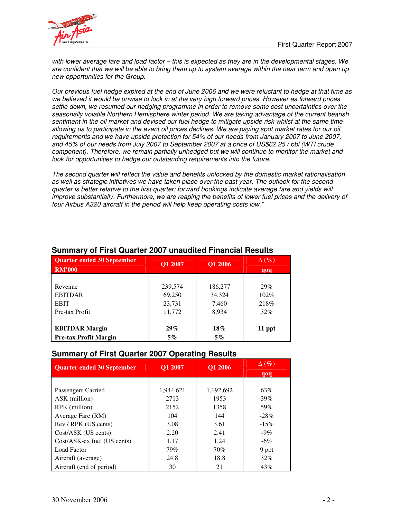

with lower average fare and load factor - this is expected as they are in the developmental stages. We are confident that we will be able to bring them up to system average within the near term and open up *new opportunities for the Group.*

Our previous fuel hedge expired at the end of June 2006 and we were reluctant to hedge at that time as we believed it would be unwise to lock in at the very high forward prices. However as forward prices *settle down, we resumed our hedging programme in order to remove some cost uncertainties over the seasonally volatile Northern Hemisphere winter period. We are taking advantage of the current bearish* sentiment in the oil market and devised our fuel hedge to mitigate upside risk whilst at the same time allowing us to participate in the event oil prices declines. We are paying spot market rates for our oil *requirements and we have upside protection for 54% of our needs from January 2007 to June 2007,* and 45% of our needs from July 2007 to September 2007 at a price of US\$62.25 / bbl (WTI crude *component). Therefore, we remain partially unhedged but we will continue to monitor the market and look for opportunities to hedge our outstanding requirements into the future.*

*The second quarter will reflect the value and benefits unlocked by the domestic market rationalisation* as well as strategic initiatives we have taken place over the past year. The outlook for the second *quarter is better relative to the first quarter; forward bookings indicate average fare and yields will improve substantially. Furthermore, we are reaping the benefits of lower fuel prices and the delivery of four Airbus A320 aircraft in the period will help keep operating costs low."*

| <b>Quarter ended 30 September</b><br><b>RM'000</b> | Q1 2007 | Q1 2006 | $\Delta(\%)$<br>qoq |
|----------------------------------------------------|---------|---------|---------------------|
| Revenue                                            | 239,574 | 186,277 | 29%                 |
| <b>EBITDAR</b>                                     | 69,250  | 34,324  | 102%                |
| <b>EBIT</b>                                        | 23,731  | 7,460   | 218%                |
| Pre-tax Profit                                     | 11,772  | 8,934   | 32%                 |
| <b>EBITDAR Margin</b>                              | $29\%$  | $18\%$  | 11 ppt              |
| <b>Pre-tax Profit Margin</b>                       | $5\%$   | $5\%$   |                     |

## **Summary of First Quarter 2007 unaudited Financial Results**

## **Summary of First Quarter 2007 Operating Results**

| <b>Quarter ended 30 September</b> | <b>O1 2007</b> | <b>O1 2006</b> | $\Delta(\%)$ |
|-----------------------------------|----------------|----------------|--------------|
|                                   |                |                | qoq          |
|                                   |                |                |              |
| Passengers Carried                | 1,944,621      | 1,192,692      | 63%          |
| ASK (million)                     | 2713           | 1953           | 39%          |
| RPK (million)                     | 2152           | 1358           | 59%          |
| Average Fare (RM)                 | 104            | 144            | $-28%$       |
| Rev / RPK (US cents)              | 3.08           | 3.61           | $-15\%$      |
| Cost/ASK (US cents)               | 2.20           | 2.41           | $-9\%$       |
| Cost/ASK-ex fuel (US cents)       | 1.17           | 1.24           | $-6\%$       |
| <b>Load Factor</b>                | 79%            | 70%            | 9 ppt        |
| Aircraft (average)                | 24.8           | 18.8           | 32%          |
| Aircraft (end of period)          | 30             | 21             | 43%          |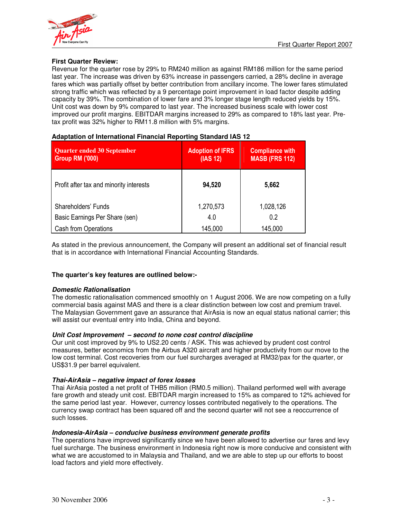

## **First Quarter Review:**

Revenue for the quarter rose by 29% to RM240 million as against RM186 million for the same period last year. The increase was driven by 63% increase in passengers carried, a 28% decline in average fares which was partially offset by better contribution from ancillary income. The lower fares stimulated strong traffic which was reflected by a 9 percentage point improvement in load factor despite adding capacity by 39%. The combination of lower fare and 3% longer stage length reduced yields by 15%. Unit cost was down by 9% compared to last year. The increased business scale with lower cost improved our profit margins. EBITDAR margins increased to 29% as compared to 18% last year. Pretax profit was 32% higher to RM11.8 million with 5% margins.

| Quarter ended 30 September<br><b>Group RM ('000)</b> | <b>Adoption of IFRS</b><br>(IAS 12) | <b>Compliance with</b><br><b>MASB (FRS 112)</b> |
|------------------------------------------------------|-------------------------------------|-------------------------------------------------|
| Profit after tax and minority interests              | 94,520                              | 5,662                                           |
| Shareholders' Funds                                  | 1,270,573                           | 1,028,126                                       |
| Basic Earnings Per Share (sen)                       | 4.0                                 | 0.2                                             |
| <b>Cash from Operations</b>                          | 145,000                             | 145,000                                         |

## **Adaptation of International Financial Reporting Standard IAS 12**

As stated in the previous announcement, the Company will present an additional set of financial result that is in accordance with International Financial Accounting Standards.

## **The quarter's key features are outlined below:-**

## *Domestic Rationalisation*

The domestic rationalisation commenced smoothly on 1 August 2006. We are now competing on a fully commercial basis against MAS and there is a clear distinction between low cost and premium travel. The Malaysian Government gave an assurance that AirAsia is now an equal status national carrier; this will assist our eventual entry into India, China and beyond.

## *Unit Cost Improvement – second to none cost control discipline*

Our unit cost improved by 9% to US2.20 cents / ASK. This was achieved by prudent cost control measures, better economics from the Airbus A320 aircraft and higher productivity from our move to the low cost terminal. Cost recoveries from our fuel surcharges averaged at RM32/pax for the quarter, or US\$31.9 per barrel equivalent.

## *Thai-AirAsia – negative impact of forex losses*

Thai AirAsia posted a net profit of THB5 million (RM0.5 million). Thailand performed well with average fare growth and steady unit cost. EBITDAR margin increased to 15% as compared to 12% achieved for the same period last year. However, currency losses contributed negatively to the operations. The currency swap contract has been squared off and the second quarter will not see a reoccurrence of such losses.

## *Indonesia-AirAsia – conducive business environment generate profits*

The operations have improved significantly since we have been allowed to advertise our fares and levy fuel surcharge. The business environment in Indonesia right now is more conducive and consistent with what we are accustomed to in Malaysia and Thailand, and we are able to step up our efforts to boost load factors and yield more effectively.